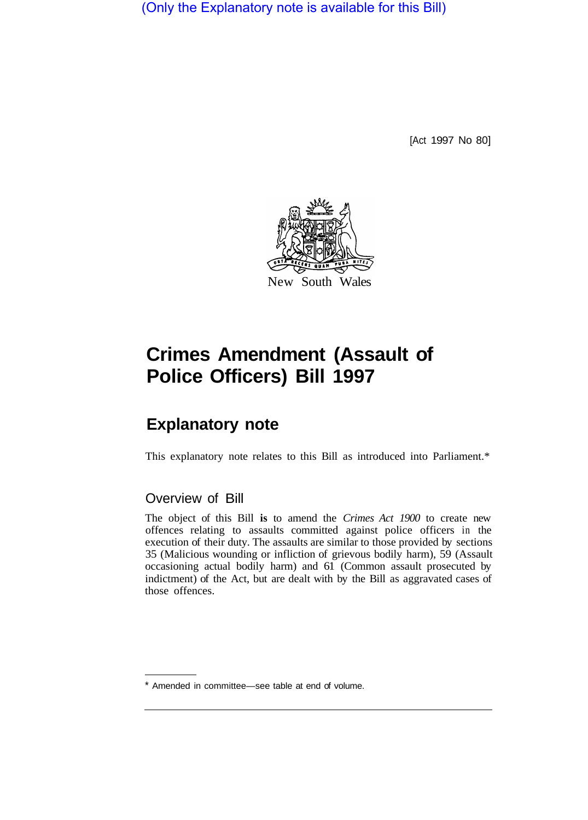(Only the Explanatory note is available for this Bill)

[Act 1997 No 80]



# **Crimes Amendment (Assault of Police Officers) Bill 1997**

## **Explanatory note**

This explanatory note relates to this Bill as introduced into Parliament.\*

### Overview of Bill

The object of this Bill **is** to amend the *Crimes Act 1900* to create new offences relating to assaults committed against police officers in the execution of their duty. The assaults are similar to those provided by sections 35 (Malicious wounding or infliction of grievous bodily harm), 59 (Assault occasioning actual bodily harm) and 61 (Common assault prosecuted by indictment) of the Act, but are dealt with by the Bill as aggravated cases of those offences.

<sup>\*</sup> Amended in committee—see table at end of volume.